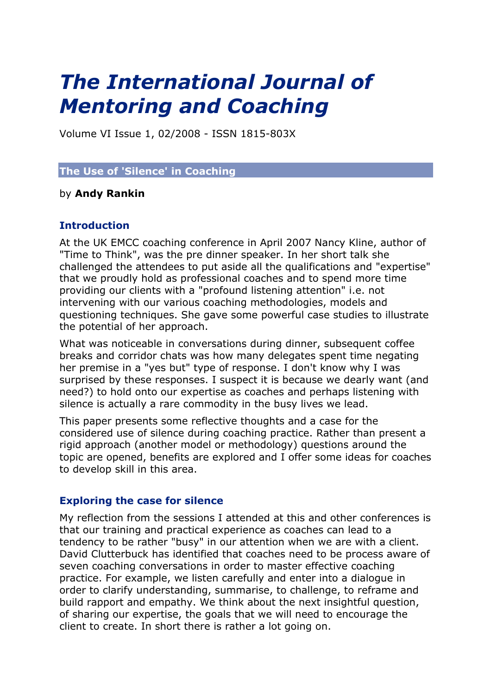# *The International Journal of Mentoring and Coaching*

Volume VI Issue 1, 02/2008 - ISSN 1815-803X

## **The Use of 'Silence' in Coaching**

#### by **Andy Rankin**

## **Introduction**

At the UK EMCC coaching conference in April 2007 Nancy Kline, author of "Time to Think", was the pre dinner speaker. In her short talk she challenged the attendees to put aside all the qualifications and "expertise" that we proudly hold as professional coaches and to spend more time providing our clients with a "profound listening attention" i.e. not intervening with our various coaching methodologies, models and questioning techniques. She gave some powerful case studies to illustrate the potential of her approach.

What was noticeable in conversations during dinner, subsequent coffee breaks and corridor chats was how many delegates spent time negating her premise in a "yes but" type of response. I don't know why I was surprised by these responses. I suspect it is because we dearly want (and need?) to hold onto our expertise as coaches and perhaps listening with silence is actually a rare commodity in the busy lives we lead.

This paper presents some reflective thoughts and a case for the considered use of silence during coaching practice. Rather than present a rigid approach (another model or methodology) questions around the topic are opened, benefits are explored and I offer some ideas for coaches to develop skill in this area.

#### **Exploring the case for silence**

My reflection from the sessions I attended at this and other conferences is that our training and practical experience as coaches can lead to a tendency to be rather "busy" in our attention when we are with a client. David Clutterbuck has identified that coaches need to be process aware of seven coaching conversations in order to master effective coaching practice. For example, we listen carefully and enter into a dialogue in order to clarify understanding, summarise, to challenge, to reframe and build rapport and empathy. We think about the next insightful question, of sharing our expertise, the goals that we will need to encourage the client to create. In short there is rather a lot going on.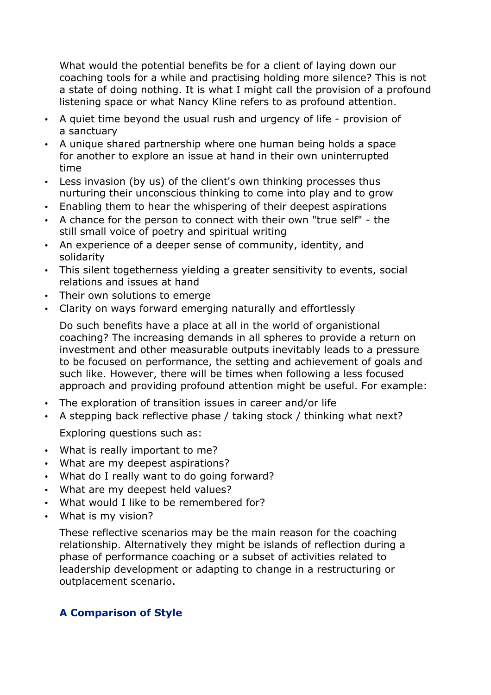What would the potential benefits be for a client of laying down our coaching tools for a while and practising holding more silence? This is not a state of doing nothing. It is what I might call the provision of a profound listening space or what Nancy Kline refers to as profound attention.

- A quiet time beyond the usual rush and urgency of life provision of a sanctuary
- A unique shared partnership where one human being holds a space for another to explore an issue at hand in their own uninterrupted time
- Less invasion (by us) of the client's own thinking processes thus nurturing their unconscious thinking to come into play and to grow
- Enabling them to hear the whispering of their deepest aspirations
- A chance for the person to connect with their own "true self" the still small voice of poetry and spiritual writing
- An experience of a deeper sense of community, identity, and solidarity
- This silent togetherness yielding a greater sensitivity to events, social relations and issues at hand
- Their own solutions to emerge
- Clarity on ways forward emerging naturally and effortlessly

Do such benefits have a place at all in the world of organistional coaching? The increasing demands in all spheres to provide a return on investment and other measurable outputs inevitably leads to a pressure to be focused on performance, the setting and achievement of goals and such like. However, there will be times when following a less focused approach and providing profound attention might be useful. For example:

- The exploration of transition issues in career and/or life
- A stepping back reflective phase / taking stock / thinking what next?

Exploring questions such as:

- What is really important to me?
- What are my deepest aspirations?
- What do I really want to do going forward?
- What are my deepest held values?
- What would I like to be remembered for?
- What is my vision?

These reflective scenarios may be the main reason for the coaching relationship. Alternatively they might be islands of reflection during a phase of performance coaching or a subset of activities related to leadership development or adapting to change in a restructuring or outplacement scenario.

## **A Comparison of Style**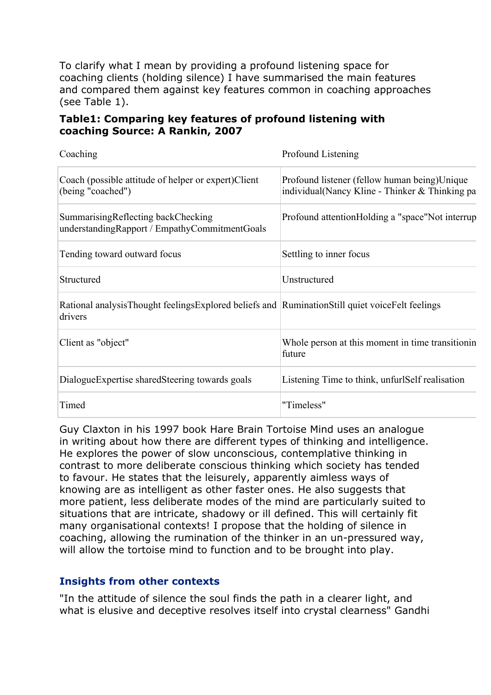To clarify what I mean by providing a profound listening space for coaching clients (holding silence) I have summarised the main features and compared them against key features common in coaching approaches (see Table 1).

## **Table1: Comparing key features of profound listening with coaching Source: A Rankin, 2007**

| Coaching                                                                                                  | Profound Listening                                                                             |
|-----------------------------------------------------------------------------------------------------------|------------------------------------------------------------------------------------------------|
| Coach (possible attitude of helper or expert) Client<br>(being "coached")                                 | Profound listener (fellow human being)Unique<br>individual(Nancy Kline - Thinker & Thinking pa |
| Summarising Reflecting back Checking<br>understandingRapport / EmpathyCommitmentGoals                     | Profound attention Holding a "space" Not interrup                                              |
| Tending toward outward focus                                                                              | Settling to inner focus                                                                        |
| Structured                                                                                                | Unstructured                                                                                   |
| Rational analysisThought feelingsExplored beliefs and RuminationStill quiet voiceFelt feelings<br>drivers |                                                                                                |
| Client as "object"                                                                                        | Whole person at this moment in time transition in<br>future                                    |
| DialogueExpertise sharedSteering towards goals                                                            | Listening Time to think, unfurlSelf realisation                                                |
| Timed                                                                                                     | "Timeless"                                                                                     |

Guy Claxton in his 1997 book Hare Brain Tortoise Mind uses an analogue in writing about how there are different types of thinking and intelligence. He explores the power of slow unconscious, contemplative thinking in contrast to more deliberate conscious thinking which society has tended to favour. He states that the leisurely, apparently aimless ways of knowing are as intelligent as other faster ones. He also suggests that more patient, less deliberate modes of the mind are particularly suited to situations that are intricate, shadowy or ill defined. This will certainly fit many organisational contexts! I propose that the holding of silence in coaching, allowing the rumination of the thinker in an un-pressured way, will allow the tortoise mind to function and to be brought into play.

## **Insights from other contexts**

"In the attitude of silence the soul finds the path in a clearer light, and what is elusive and deceptive resolves itself into crystal clearness" Gandhi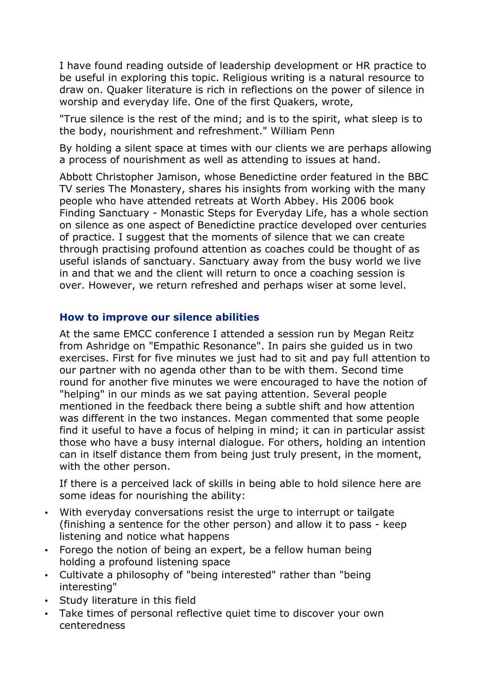I have found reading outside of leadership development or HR practice to be useful in exploring this topic. Religious writing is a natural resource to draw on. Quaker literature is rich in reflections on the power of silence in worship and everyday life. One of the first Quakers, wrote,

"True silence is the rest of the mind; and is to the spirit, what sleep is to the body, nourishment and refreshment." William Penn

By holding a silent space at times with our clients we are perhaps allowing a process of nourishment as well as attending to issues at hand.

Abbott Christopher Jamison, whose Benedictine order featured in the BBC TV series The Monastery, shares his insights from working with the many people who have attended retreats at Worth Abbey. His 2006 book Finding Sanctuary - Monastic Steps for Everyday Life, has a whole section on silence as one aspect of Benedictine practice developed over centuries of practice. I suggest that the moments of silence that we can create through practising profound attention as coaches could be thought of as useful islands of sanctuary. Sanctuary away from the busy world we live in and that we and the client will return to once a coaching session is over. However, we return refreshed and perhaps wiser at some level.

## **How to improve our silence abilities**

At the same EMCC conference I attended a session run by Megan Reitz from Ashridge on "Empathic Resonance". In pairs she guided us in two exercises. First for five minutes we just had to sit and pay full attention to our partner with no agenda other than to be with them. Second time round for another five minutes we were encouraged to have the notion of "helping" in our minds as we sat paying attention. Several people mentioned in the feedback there being a subtle shift and how attention was different in the two instances. Megan commented that some people find it useful to have a focus of helping in mind; it can in particular assist those who have a busy internal dialogue. For others, holding an intention can in itself distance them from being just truly present, in the moment, with the other person.

If there is a perceived lack of skills in being able to hold silence here are some ideas for nourishing the ability:

- With everyday conversations resist the urge to interrupt or tailgate (finishing a sentence for the other person) and allow it to pass - keep listening and notice what happens
- Forego the notion of being an expert, be a fellow human being holding a profound listening space
- Cultivate a philosophy of "being interested" rather than "being interesting"
- Study literature in this field
- Take times of personal reflective quiet time to discover your own centeredness